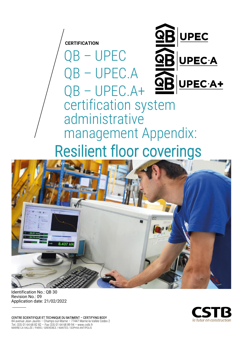

QB – UPEC

UPEC.A



# QB – UPEC.A+ certification system administrative management Appendix: Resilient floor coverings



Identification No.: QB 30 Revision No.: 09 Application date: 21/02/2022

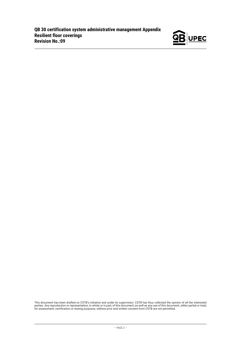

This document has been drafted on CSTB's initiative and under its supervision. CSTB has thus collected the opinion of all the interested<br>parties. Any reproduction or representation, in whole or in part, of this document, a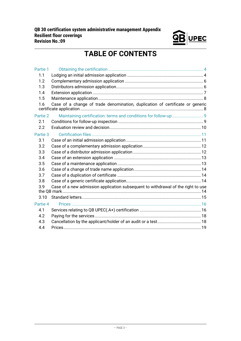

# **TABLE OF CONTENTS**

| Partie 1 |                                                                                  |  |
|----------|----------------------------------------------------------------------------------|--|
| 1.1      |                                                                                  |  |
| 1.2      |                                                                                  |  |
| 1.3      |                                                                                  |  |
| 1.4      |                                                                                  |  |
| 1.5      |                                                                                  |  |
| 1.6      | Case of a change of trade denomination, duplication of certificate or generic    |  |
| Partie 2 |                                                                                  |  |
| 2.1      |                                                                                  |  |
| 2.2      |                                                                                  |  |
| Partie 3 |                                                                                  |  |
| 3.1      |                                                                                  |  |
| 3.2      |                                                                                  |  |
| 3.3      |                                                                                  |  |
| 3.4      |                                                                                  |  |
| 3.5      |                                                                                  |  |
| 3.6      |                                                                                  |  |
| 3.7      |                                                                                  |  |
| 3.8      |                                                                                  |  |
| 3.9      | Case of a new admission application subsequent to withdrawal of the right to use |  |
| 3.10     |                                                                                  |  |
| Partie 4 |                                                                                  |  |
| 4.1      |                                                                                  |  |
| 4.2      |                                                                                  |  |
| 4.3      |                                                                                  |  |
| 4.4      |                                                                                  |  |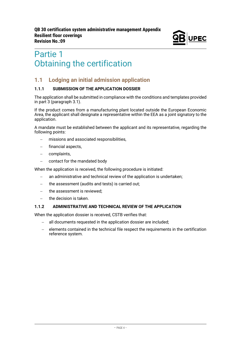

# <span id="page-3-0"></span>Partie 1 Obtaining the certification

# <span id="page-3-1"></span>**1.1 Lodging an initial admission application**

#### **1.1.1 SUBMISSION OF THE APPLICATION DOSSIER**

The application shall be submitted in compliance with the conditions and templates provided in part 3 (paragraph 3.1).

If the product comes from a manufacturing plant located outside the European Economic Area, the applicant shall designate a representative within the EEA as a joint signatory to the application.

A mandate must be established between the applicant and its representative, regarding the following points:

- − missions and associated responsibilities,
- financial aspects,
- − complaints,
- − contact for the mandated body

When the application is received, the following procedure is initiated:

- − an administrative and technical review of the application is undertaken;
- the assessment (audits and tests) is carried out;
- − the assessment is reviewed;
- − the decision is taken.

#### **1.1.2 ADMINISTRATIVE AND TECHNICAL REVIEW OF THE APPLICATION**

When the application dossier is received, CSTB verifies that:

- all documents requested in the application dossier are included:
- − elements contained in the technical file respect the requirements in the certification reference system.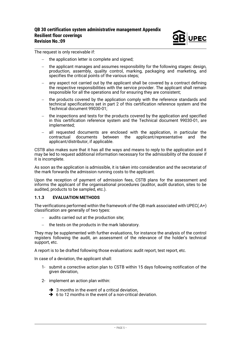

The request is only receivable if:

- the application letter is complete and signed:
- the applicant manages and assumes responsibility for the following stages: design, production, assembly, quality control, marking, packaging and marketing, and specifies the critical points of the various steps;
- − any aspect not carried out by the applicant shall be covered by a contract defining the respective responsibilities with the service provider. The applicant shall remain responsible for all the operations and for ensuring they are consistent;
- the products covered by the application comply with the reference standards and technical specifications set in part 2 of this certification reference system and the Technical document 99030-01;
- the inspections and tests for the products covered by the application and specified in this certification reference system and the Technical document 99030-01, are implemented;
- all requested documents are enclosed with the application, in particular the contractual documents between the applicant/representative and the applicant/distributor, if applicable.

CSTB also makes sure that it has all the ways and means to reply to the application and it may be led to request additional information necessary for the admissibility of the dossier if it is incomplete.

As soon as the application is admissible, it is taken into consideration and the secretariat of the mark forwards the admission running costs to the applicant.

Upon the reception of payment of admission fees, CSTB plans for the assessment and informs the applicant of the organisational procedures (auditor, audit duration, sites to be audited, products to be sampled, etc.).

#### **1.1.3 EVALUATION METHODS**

The verifications performed within the framework of the QB mark associated with UPEC(.A+) classification are generally of two types:

- audits carried out at the production site;
- − the tests on the products in the mark laboratory.

They may be supplemented with further evaluations, for instance the analysis of the control registers following the audit, an assessment of the relevance of the holder's technical support, etc.

A report is to be drafted following those evaluations: audit report, test report, etc.

In case of a deviation, the applicant shall:

- 1- submit a corrective action plan to CSTB within 15 days following notification of the given deviation,
- 2- implement an action plan within:
	- $\rightarrow$  3 months in the event of a critical deviation.
	- ➔ 6 to 12 months in the event of a non-critical deviation.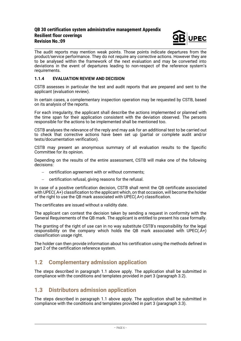#### **QB 30 certification system administrative management Appendix Resilient floor coverings Revision No.:09**



The audit reports may mention weak points. Those points indicate departures from the product/service performance. They do not require any corrective actions. However they are to be analysed within the framework of the next evaluation and may be converted into deviations in the event of departures leading to non-respect of the reference system's requirements.

#### **1.1.4 EVALUATION REVIEW AND DECISION**

CSTB assesses in particular the test and audit reports that are prepared and sent to the applicant (evaluation review).

In certain cases, a complementary inspection operation may be requested by CSTB, based on its analysis of the reports.

For each irregularity, the applicant shall describe the actions implemented or planned with the time span for their application consistent with the deviation observed. The persons responsible for the actions to be implemented shall be mentioned too.

CSTB analyses the relevance of the reply and may ask for an additional test to be carried out to check that corrective actions have been set up (partial or complete audit and/or tests/documentation verification).

CSTB may present an anonymous summary of all evaluation results to the Specific Committee for its opinion.

Depending on the results of the entire assessment, CSTB will make one of the following decisions:

- − certification agreement with or without comments;
- − certification refusal, giving reasons for the refusal.

In case of a positive certification decision, CSTB shall remit the QB certificate associated with UPEC(.A+) classification to the applicant which, on that occasion, will become the holder of the right to use the QB mark associated with UPEC(.A+) classification.

The certificates are issued without a validity date.

The applicant can contest the decision taken by sending a request in conformity with the General Requirements of the QB mark. The applicant is entitled to present his case formally.

The granting of the right of use can in no way substitute CSTB's responsibility for the legal responsibility on the company which holds the QB mark associated with UPEC(.A+) classification usage right.

The holder can then provide information about his certification using the methods defined in part 2 of the certification reference system.

# <span id="page-5-0"></span>**1.2 Complementary admission application**

The steps described in paragraph 1.1 above apply. The application shall be submitted in compliance with the conditions and templates provided in part 3 (paragraph 3.2).

#### <span id="page-5-1"></span>**1.3 Distributors admission application**

The steps described in paragraph 1.1 above apply. The application shall be submitted in compliance with the conditions and templates provided in part 3 (paragraph 3.3).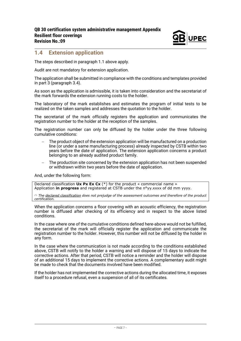

#### <span id="page-6-0"></span>**1.4 Extension application**

The steps described in paragraph 1.1 above apply.

Audit are not mandatory for extension application.

The application shall be submitted in compliance with the conditions and templates provided in part 3 (paragraph 3.4).

As soon as the application is admissible, it is taken into consideration and the secretariat of the mark forwards the extension running costs to the holder.

The laboratory of the mark establishes and estimates the program of initial tests to be realized on the taken samples and addresses the quotation to the holder.

The secretariat of the mark officially registers the application and communicates the registration number to the holder at the reception of the samples.

The registration number can only be diffused by the holder under the three following cumulative conditions:

- The product object of the extension application will be manufactured on a production line (or under a same manufacturing process) already inspected by CSTB within two years before the date of application. The extension application concerns a product belonging to an already audited product family.
- − The production site concerned by the extension application has not been suspended or withdrawn within two years before the date of application.

And, under the following form:

Declared classification **Ux Px Ex Cx** (\*) for the product « commercial name » Application **in progress** and registered at CSTB under the n°yy.xxxx of dd mm yyyy.

*(\*) The declared classification does not prejudge of the assessment outcomes and therefore of the product certification.*

When the application concerns a floor covering with an acoustic efficiency, the registration number is diffused after checking of its efficiency and in respect to the above listed conditions.

In the case where one of the cumulative conditions defined here-above would not be fulfilled, the secretariat of the mark will officially register the application and communicate the registration number to the holder. However, this number will not be diffused by the holder in any form.

In the case where the communication is not made according to the conditions established above, CSTB will notify to the holder a warning and will dispose of 15 days to indicate the corrective actions. After that period, CSTB will notice a reminder and the holder will dispose of an additional 15 days to implement the corrective actions. A complementary audit might be made to check that the documents involved have been modified.

If the holder has not implemented the corrective actions during the allocated time, it exposes itself to a procedure refusal, even a suspension of all of its certificates.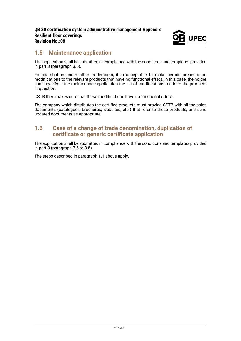

### <span id="page-7-0"></span>**1.5 Maintenance application**

The application shall be submitted in compliance with the conditions and templates provided in part 3 (paragraph 3.5).

For distribution under other trademarks, it is acceptable to make certain presentation modifications to the relevant products that have no functional effect. In this case, the holder shall specify in the maintenance application the list of modifications made to the products in question.

CSTB then makes sure that these modifications have no functional effect.

The company which distributes the certified products must provide CSTB with all the sales documents (catalogues, brochures, websites, etc.) that refer to these products, and send updated documents as appropriate.

#### <span id="page-7-1"></span>**1.6 Case of a change of trade denomination, duplication of certificate or generic certificate application**

The application shall be submitted in compliance with the conditions and templates provided in part 3 (paragraph 3.6 to 3.8).

The steps described in paragraph 1.1 above apply.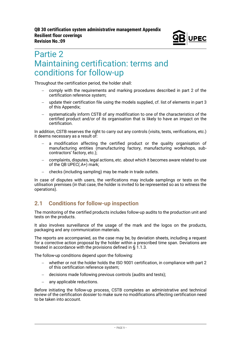

# <span id="page-8-0"></span>Partie 2 Maintaining certification: terms and conditions for follow-up

Throughout the certification period, the holder shall:

- comply with the requirements and marking procedures described in part 2 of the certification reference system;
- − update their certification file using the models supplied, cf. list of elements in part 3 of this Appendix;
- systematically inform CSTB of any modification to one of the characteristics of the certified product and/or of its organisation that is likely to have an impact on the certification.

In addition, CSTB reserves the right to carry out any controls (visits, tests, verifications, etc.) it deems necessary as a result of:

- a modification affecting the certified product or the quality organisation of manufacturing entities (manufacturing factory, manufacturing workshops, subcontractors' factory, etc.);
- − complaints, disputes, legal actions, etc. about which it becomes aware related to use of the QB UPEC(.A+) mark;
- − checks (including sampling) may be made in trade outlets.

In case of disputes with users, the verifications may include samplings or tests on the utilisation premises (in that case, the holder is invited to be represented so as to witness the operations).

# <span id="page-8-1"></span>**2.1 Conditions for follow-up inspection**

The monitoring of the certified products includes follow-up audits to the production unit and tests on the products.

It also involves surveillance of the usage of the mark and the logos on the products, packaging and any communication materials.

The reports are accompanied, as the case may be, by deviation sheets, including a request for a corrective action proposal by the holder within a prescribed time span. Deviations are treated in accordance with the provisions defined in § 1.1.3.

The follow-up conditions depend upon the following:

- − whether or not the holder holds the ISO 9001 certification, in compliance with part 2 of this certification reference system;
- − decisions made following previous controls (audits and tests);
- any applicable reductions.

Before initiating the follow-up process, CSTB completes an administrative and technical review of the certification dossier to make sure no modifications affecting certification need to be taken into account.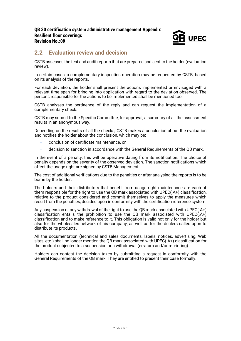

#### <span id="page-9-0"></span>**2.2 Evaluation review and decision**

CSTB assesses the test and audit reports that are prepared and sent to the holder (evaluation review).

In certain cases, a complementary inspection operation may be requested by CSTB, based on its analysis of the reports.

For each deviation, the holder shall present the actions implemented or envisaged with a relevant time span for bringing into application with regard to the deviation observed. The persons responsible for the actions to be implemented shall be mentioned too.

CSTB analyses the pertinence of the reply and can request the implementation of a complementary check.

CSTB may submit to the Specific Committee, for approval, a summary of all the assessment results in an anonymous way.

Depending on the results of all the checks, CSTB makes a conclusion about the evaluation and notifies the holder about the conclusion, which may be:

- − conclusion of certificate maintenance, or
- − decision to sanction in accordance with the General Requirements of the QB mark.

In the event of a penalty, this will be operative dating from its notification. The choice of penalty depends on the severity of the observed deviation. The sanction notifications which affect the usage right are signed by CSTB Management.

The cost of additional verifications due to the penalties or after analysing the reports is to be borne by the holder.

The holders and their distributors that benefit from usage right maintenance are each of them responsible for the right to use the QB mark associated with UPEC(.A+) classification, relative to the product considered and commit themselves to apply the measures which result from the penalties, decided upon in conformity with the certification reference system.

Any suspension or any withdrawal of the right to use the QB mark associated with UPEC(.A+) classification entails the prohibition to use the QB mark associated with UPEC( $A+$ ) classification and to make reference to it. This obligation is valid not only for the holder but also for the wholesales network of his company, as well as for the dealers called upon to distribute its products.

All the documentation (technical and sales documents, labels, notices, advertising, Web sites, etc.) shall no longer mention the QB mark associated with UPEC(.A+) classification for the product subjected to a suspension or a withdrawal (erratum and/or reprinting).

Holders can contest the decision taken by submitting a request in conformity with the General Requirements of the QB mark. They are entitled to present their case formally.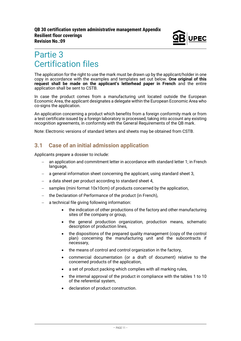

# <span id="page-10-0"></span>Partie 3 Certification files

The application for the right to use the mark must be drawn up by the applicant/holder in one copy in accordance with the examples and templates set out below. **One original of this request shall be made on the applicant's letterhead paper in French** and the entire application shall be sent to CSTB.

In case the product comes from a manufacturing unit located outside the European Economic Area, the applicant designates a delegate within the European Economic Area who co-signs the application.

An application concerning a product which benefits from a foreign conformity mark or from a test certificate issued by a foreign laboratory is processed, taking into account any existing recognition agreements, in conformity with the General Requirements of the QB mark.

<span id="page-10-1"></span>Note: Electronic versions of standard letters and sheets may be obtained from CSTB.

## **3.1 Case of an initial admission application**

Applicants prepare a dossier to include:

- an application and commitment letter in accordance with standard letter 1; in French language,
- a general information sheet concerning the applicant, using standard sheet 3,
- − a data sheet per product according to standard sheet 4,
- samples (mini format 10x10cm) of products concerned by the application,
- the Declaration of Performance of the product (in French),
- a technical file giving following information:
	- the indication of other productions of the factory and other manufacturing sites of the company or group,
	- the general production organization, production means, schematic description of production lines,
	- the dispositions of the prepared quality management (copy of the control plan) concerning the manufacturing unit and the subcontracts if necessary,
	- the means of control and control organization in the factory.
	- commercial documentation (or a draft of document) relative to the concerned products of the application,
	- a set of product packing which complies with all marking rules.
	- the internal approval of the product in compliance with the tables 1 to 10 of the referential system,
	- declaration of product construction.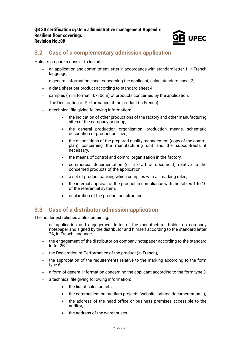

# <span id="page-11-0"></span>**3.2 Case of a complementary admission application**

Holders prepare a dossier to include:

- an application and commitment letter in accordance with standard letter 1; in French language.
- a general information sheet concerning the applicant, using standard sheet 3;
- − a data sheet per product according to standard sheet 4.
- samples (mini format 10x10cm) of products concerned by the application,
- The Declaration of Performance of the product (in French)
- a technical file giving following information:
	- the indication of other productions of the factory and other manufacturing sites of the company or group,
	- the general production organization, production means, schematic description of production lines,
	- the dispositions of the prepared quality management (copy of the control plan) concerning the manufacturing unit and the subcontracts if necessary,
	- the means of control and control organization in the factory,
	- commercial documentation (or a draft of document) relative to the concerned products of the application,
	- a set of product packing which complies with all marking rules,
	- the internal approval of the product in compliance with the tables 1 to 10 of the referential system,
	- declaration of the product construction.

### <span id="page-11-1"></span>**3.3 Case of a distributor admission application**

The holder establishes a file containing:

- an application and engagement letter of the manufacturer holder on company notepaper and signed by the distributor and himself according to the standard letter 2A, in French language,
- the engagement of the distributor on company notepaper according to the standard letter<sub>2B</sub>
- the Declaration of Performance of the product (in French),
- − the approbation of the requirements relative to the marking according to the form type 6,
- a form of general information concerning the applicant according to the form type 3,
- a technical file giving following information:
	- the list of sales outlets,
	- the communication medium projects (website, printed documentation...),
	- the address of the head office or business premises accessible to the auditor,
	- the address of the warehouses.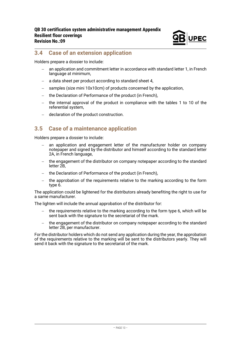

# <span id="page-12-0"></span>**3.4 Case of an extension application**

Holders prepare a dossier to include:

- an application and commitment letter in accordance with standard letter 1, in French language at minimum.
- − a data sheet per product according to standard sheet 4,
- samples (size mini 10x10cm) of products concerned by the application,
- the Declaration of Performance of the product (in French),
- − the internal approval of the product in compliance with the tables 1 to 10 of the referential system,
- − declaration of the product construction.

#### <span id="page-12-1"></span>**3.5 Case of a maintenance application**

Holders prepare a dossier to include:

- an application and engagement letter of the manufacturer holder on company notepaper and signed by the distributor and himself according to the standard letter 2A, in French language,
- − the engagement of the distributor on company notepaper according to the standard letter 2B,
- the Declaration of Performance of the product (in French),
- − the approbation of the requirements relative to the marking according to the form type 6.

The application could be lightened for the distributors already benefiting the right to use for a same manufacturer.

The lighten will include the annual approbation of the distributor for:

- the requirements relative to the marking according to the form type 6, which will be sent back with the signature to the secretariat of the mark.
- − the engagement of the distributor on company notepaper according to the standard letter 2B, per manufacturer.

For the distributor holders which do not send any application during the year, the approbation of the requirements relative to the marking will be sent to the distributors yearly. They will send it back with the signature to the secretariat of the mark.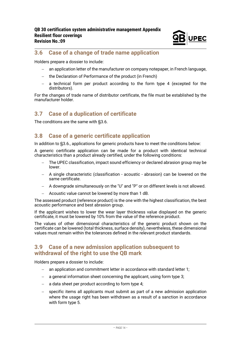

# <span id="page-13-0"></span>**3.6 Case of a change of trade name application**

Holders prepare a dossier to include:

- − an application letter of the manufacturer on company notepaper, in French language,
- − the Declaration of Performance of the product (in French)
- − a technical form per product according to the form type 4 (excepted for the distributors).

For the changes of trade name of distributor certificate, the file must be established by the manufacturer holder.

### <span id="page-13-1"></span>**3.7 Case of a duplication of certificate**

<span id="page-13-2"></span>The conditions are the same with §3.6.

#### **3.8 Case of a generic certificate application**

In addition to §3.6., applications for generic products have to meet the conditions below:

A generic certificate application can be made for a product with identical technical characteristics than a product already certified, under the following conditions:

- − The UPEC classification, impact sound efficiency or declared abrasion group may be lower.
- − A single characteristic (classification acoustic abrasion) can be lowered on the same certificate.
- − A downgrade simultaneously on the "U" and "P" or on different levels is not allowed.
- − Acoustic value cannot be lowered by more than 1 dB.

The assessed product (reference product) is the one with the highest classification, the best acoustic performance and best abrasion group.

If the applicant wishes to lower the wear layer thickness value displayed on the generic certificate, it must be lowered by 10% from the value of the reference product.

The values of other dimensional characteristics of the generic product shown on the certificate can be lowered (total thickness, surface density), nevertheless, these dimensional values must remain within the tolerances defined in the relevant product standards.

#### <span id="page-13-3"></span>**3.9 Case of a new admission application subsequent to withdrawal of the right to use the QB mark**

Holders prepare a dossier to include:

- − an application and commitment letter in accordance with standard letter 1;
- − a general information sheet concerning the applicant, using form type 3;
- − a data sheet per product according to form type 4;
- specific items all applicants must submit as part of a new admission application where the usage right has been withdrawn as a result of a sanction in accordance with form type 5.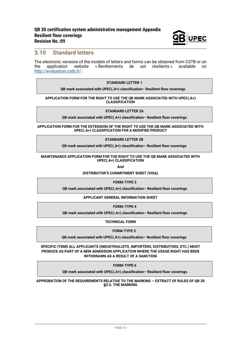

#### <span id="page-14-0"></span>**3.10 Standard letters**

The electronic versions of the models of letters and forms can be obtained from CSTB or on<br>the application website « Revêtements de sol résilients » available on « Revêtements de sol résilients » available on <http://evaluation.cstb.fr/> :

#### **STANDARD LETTER 1**

**QB mark associated with UPEC(.A+) classification– Resilient floor coverings**

**APPLICATION FORM FOR THE RIGHT TO USE THE QB MARK ASSOCIATED WITH UPEC(.A+) CLASSIFICATION** 

#### **STANDARD LETTER 2A**

**QB mark associated with UPEC(.A+) classification– Resilient floor coverings**

**APPLICATION FORM FOR THE EXTENSION OF THE RIGHT TO USE THE QB MARK ASSOCIATED WITH UPEC(.A+) CLASSIFICATION FOR A MODIFIED PRODUCT**

#### **STANDARD LETTER 2B**

**QB mark associated with UPEC(.A+) classification– Resilient floor coverings**

#### **MAINTENANCE APPLICATION FORM FOR THE RIGHT TO USE THE QB MARK ASSOCIATED WITH UPEC(.A+) CLASSIFICATION**

**And**

**DISTRIBUTOR'S COMMITMENT SHEET (VISA)**

**FORM-TYPE 3**

**QB mark associated with UPEC(.A+) classification– Resilient floor coverings**

**APPLICANT GENERAL INFORMATION SHEET**

**FORM-TYPE 4**

**QB mark associated with UPEC(.A+) classification– Resilient floor coverings**

**TECHNICAL FORM**

**FORM-TYPE 5**

**QB mark associated with UPEC(.A+) classification– Resilient floor coverings**

**SPECIFIC ITEMS ALL APPLICANTS (INDUSTRIALISTS, IMPORTERS, DISTRIBUTORS, ETC.) MUST PRODUCE AS PART OF A NEW ADMISSION APPLICATION WHERE THE USAGE RIGHT HAS BEEN WITHDRAWN AS A RESULT OF A SANCTION**

**FORM-TYPE 6**

**QB mark associated with UPEC(.A+) classification– Resilient floor coverings**

**APPROBATION OF THE REQUIREMENTS RELATIVE TO THE MARKING – EXTRACT OF RULES OF QB 30 §2.6. THE MARKING**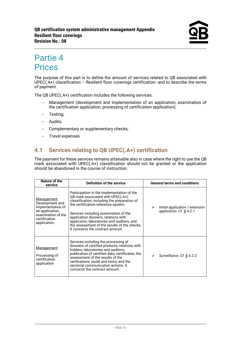# <span id="page-15-0"></span>Partie 4 **Prices**

The purpose of this part is to define the amount of services related to QB associated with UPEC(.A+) classification – Resilient floor coverings certification- and to describe the terms of payment.

The QB UPEC(.A+) certification includes the following services:

- − Management (development and implementation of an application, examination of the certification application, processing of certification application);
- − Testing;
- − Audits;
- − Complementary or supplementary checks;
- − Travel expenses.

## <span id="page-15-1"></span>**4.1 Services relating to QB UPEC(.A+) certification**

The payment for these services remains attainable also in case where the right to use the QB mark associated with UPEC(.A+) classification should not be granted or the application should be abandoned in the course of instruction.

| Nature of the<br>service                                                                                                      | Definition of the service                                                                                                                                                                                                                                                                                                                                                                 | <b>General terms and conditions</b>                                  |
|-------------------------------------------------------------------------------------------------------------------------------|-------------------------------------------------------------------------------------------------------------------------------------------------------------------------------------------------------------------------------------------------------------------------------------------------------------------------------------------------------------------------------------------|----------------------------------------------------------------------|
| Management:<br>Development and<br>implementation of<br>an application,<br>examination of the<br>certification<br>application. | Participation in the implementation of the<br>QB mark associated with UPEC(.A+)<br>classification, including the preparation of<br>the certification reference system.<br>Services including examination of the<br>application dossiers, relations with<br>applicants, laboratories and auditors, and<br>the assessment of the results of the checks.<br>It concerns the contract amount. | Initial application / extension<br>➤<br>application: $Cf$ . § 4.2.1. |
| Management:<br>Processing of<br>certification<br>application                                                                  | Services including the processing of<br>dossiers of certified products, relations with<br>holders, laboratories and auditors,<br>publication of certified data, certificates, the<br>assessment of the results of the<br>verifications (audit and tests) and the<br>sectorial communication actions. It<br>concerns the contract amount.                                                  | Surveillance: Cf. § 4.2.2.<br>⋗                                      |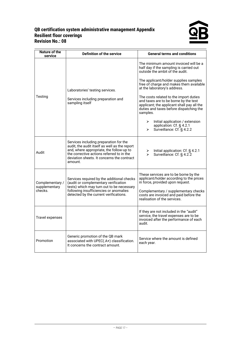#### **QB certification system administrative management Appendix Resilient floor coverings Revision No.: 08**



| <b>Nature of the</b><br>service             | <b>Definition of the service</b>                                                                                                                                                                                                          | <b>General terms and conditions</b>                                                                                                                                                                                                                                                                                                                                                                                                                                                                                                   |
|---------------------------------------------|-------------------------------------------------------------------------------------------------------------------------------------------------------------------------------------------------------------------------------------------|---------------------------------------------------------------------------------------------------------------------------------------------------------------------------------------------------------------------------------------------------------------------------------------------------------------------------------------------------------------------------------------------------------------------------------------------------------------------------------------------------------------------------------------|
| Testing                                     | Laboratories' testing services.<br>Services including preparation and<br>sampling itself                                                                                                                                                  | The minimum amount invoiced will be a<br>half day if the sampling is carried out<br>outside the ambit of the audit.<br>The applicant/holder supplies samples<br>free of charge and makes them available<br>at the laboratory's address.<br>The costs related to the import duties<br>and taxes are to be borne by the test<br>applicant; the applicant shall pay all the<br>duties and taxes before dispatching the<br>samples.<br>Initial application / extension<br>➤<br>application: Cf. § 4.2.1<br>Surveillance: Cf. § 4.2.2<br>↘ |
| Audit                                       | Services including preparation for the<br>audit, the audit itself as well as the report<br>and, where appropriate, the follow-up to<br>the corrective actions referred to in the<br>deviation sheets. It concerns the contract<br>amount. | Initial application: Cf. § 4.2.1<br>➤<br>$\blacktriangleright$<br>Surveillance: Cf. § 4.2.2                                                                                                                                                                                                                                                                                                                                                                                                                                           |
| Complementary /<br>supplementary<br>checks. | Services required by the additional checks<br>(audit or complementary verification<br>tests) which may turn out to be necessary<br>following insufficiencies or anomalies<br>detected by the current verifications.                       | These services are to be borne by the<br>applicant/holder according to the prices<br>in force, provided upon request.<br>Complementary / supplementary checks<br>costs are invoiced and paid before the<br>realisation of the services.                                                                                                                                                                                                                                                                                               |
| Travel expenses                             |                                                                                                                                                                                                                                           | If they are not included in the "audit"<br>service, the travel expenses are to be<br>invoiced after the performance of each<br>audit.                                                                                                                                                                                                                                                                                                                                                                                                 |
| Promotion                                   | Generic promotion of the QB mark<br>associated with UPEC(.A+) classification.<br>It concerns the contract amount.                                                                                                                         | Service where the amount is defined<br>each year.                                                                                                                                                                                                                                                                                                                                                                                                                                                                                     |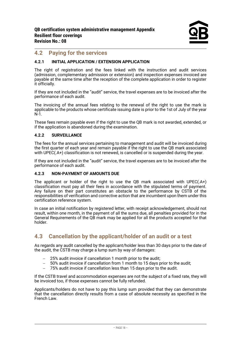#### <span id="page-17-0"></span>**4.2 Paying for the services**

#### **4.2.1 INITIAL APPLICATION / EXTENSION APPLICATION**

The right of registration and the fees linked with the instruction and audit services (admission, complementary admission or extension) and inspection expenses invoiced are payable at the same time after the reception of the complete application in order to register it officially.

If they are not included in the "audit" service, the travel expenses are to be invoiced after the performance of each audit.

The invoicing of the annual fees relating to the renewal of the right to use the mark is applicable to the products whose certificate issuing date is prior to the 1st of July of the year N-1.

These fees remain payable even if the right to use the QB mark is not awarded, extended, or if the application is abandoned during the examination.

#### **4.2.2 SURVEILLANCE**

The fees for the annual services pertaining to management and audit will be invoiced during the first quarter of each year and remain payable if the right to use the QB mark associated with UPEC(.A+) classification is not renewed, is cancelled or is suspended during the year.

If they are not included in the "audit" service, the travel expenses are to be invoiced after the performance of each audit.

#### **4.2.3 NON-PAYMENT OF AMOUNTS DUE**

The applicant or holder of the right to use the QB mark associated with UPEC(.A+) classification must pay all their fees in accordance with the stipulated terms of payment. Any failure on their part constitutes an obstacle to the performance by CSTB of the responsibilities of verification and corrective action that are incumbent upon them under this certification reference system.

In case an initial notification by registered letter, with receipt acknowledgement, should not result, within one month, in the payment of all the sums due, all penalties provided for in the General Requirements of the QB mark may be applied for all the products accepted for that holder.

### <span id="page-17-1"></span>**4.3 Cancellation by the applicant/holder of an audit or a test**

As regards any audit cancelled by the applicant/holder less than 30 days prior to the date of the audit, the CSTB may charge a lump sum by way of damages:

- 25% audit invoice if cancellation 1 month prior to the audit;
- − 50% audit invoice if cancellation from 1 month to 15 days prior to the audit;
- − 75% audit invoice if cancellation less than 15 days prior to the audit.

If the CSTB travel and accommodation expenses are not the subject of a fixed rate, they will be invoiced too, if those expenses cannot be fully refunded.

Applicants/holders do not have to pay this lump sum provided that they can demonstrate that the cancellation directly results from a case of absolute necessity as specified in the French Law.